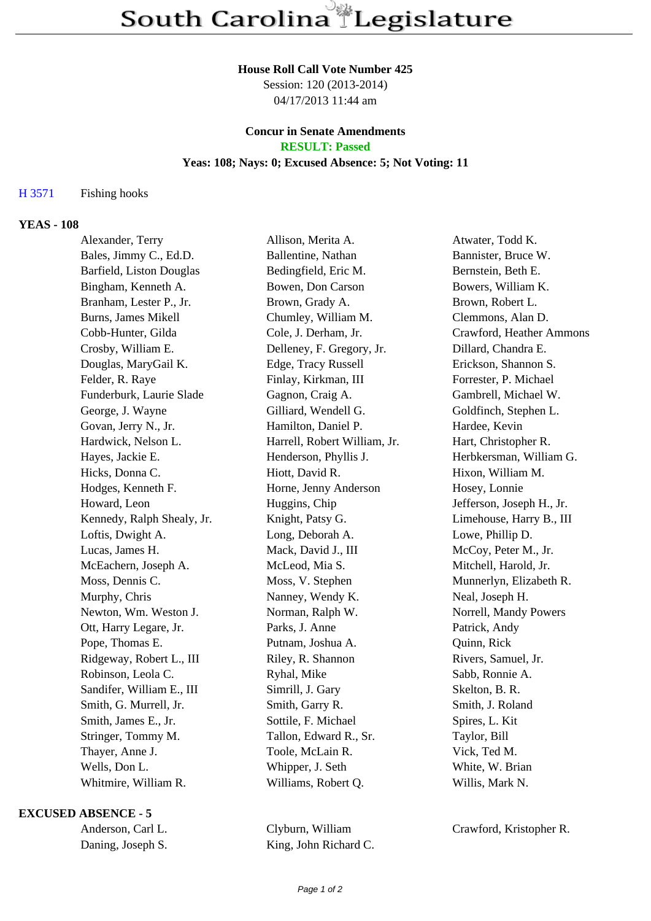#### **House Roll Call Vote Number 425**

Session: 120 (2013-2014) 04/17/2013 11:44 am

## **Concur in Senate Amendments RESULT: Passed**

# **Yeas: 108; Nays: 0; Excused Absence: 5; Not Voting: 11**

#### H 3571 Fishing hooks

# **YEAS - 108**

| Alexander, Terry                | Allison, Merita A.           | Atwater, Todd K.          |
|---------------------------------|------------------------------|---------------------------|
| Bales, Jimmy C., Ed.D.          | Ballentine, Nathan           | Bannister, Bruce W.       |
| <b>Barfield, Liston Douglas</b> | Bedingfield, Eric M.         | Bernstein, Beth E.        |
| Bingham, Kenneth A.             | Bowen, Don Carson            | Bowers, William K.        |
| Branham, Lester P., Jr.         | Brown, Grady A.              | Brown, Robert L.          |
| Burns, James Mikell             | Chumley, William M.          | Clemmons, Alan D.         |
| Cobb-Hunter, Gilda              | Cole, J. Derham, Jr.         | Crawford, Heather Ammons  |
| Crosby, William E.              | Delleney, F. Gregory, Jr.    | Dillard, Chandra E.       |
| Douglas, MaryGail K.            | Edge, Tracy Russell          | Erickson, Shannon S.      |
| Felder, R. Raye                 | Finlay, Kirkman, III         | Forrester, P. Michael     |
| Funderburk, Laurie Slade        | Gagnon, Craig A.             | Gambrell, Michael W.      |
| George, J. Wayne                | Gilliard, Wendell G.         | Goldfinch, Stephen L.     |
| Govan, Jerry N., Jr.            | Hamilton, Daniel P.          | Hardee, Kevin             |
| Hardwick, Nelson L.             | Harrell, Robert William, Jr. | Hart, Christopher R.      |
| Hayes, Jackie E.                | Henderson, Phyllis J.        | Herbkersman, William G.   |
| Hicks, Donna C.                 | Hiott, David R.              | Hixon, William M.         |
| Hodges, Kenneth F.              | Horne, Jenny Anderson        | Hosey, Lonnie             |
| Howard, Leon                    | Huggins, Chip                | Jefferson, Joseph H., Jr. |
| Kennedy, Ralph Shealy, Jr.      | Knight, Patsy G.             | Limehouse, Harry B., III  |
| Loftis, Dwight A.               | Long, Deborah A.             | Lowe, Phillip D.          |
| Lucas, James H.                 | Mack, David J., III          | McCoy, Peter M., Jr.      |
| McEachern, Joseph A.            | McLeod, Mia S.               | Mitchell, Harold, Jr.     |
| Moss, Dennis C.                 | Moss, V. Stephen             | Munnerlyn, Elizabeth R.   |
| Murphy, Chris                   | Nanney, Wendy K.             | Neal, Joseph H.           |
| Newton, Wm. Weston J.           | Norman, Ralph W.             | Norrell, Mandy Powers     |
| Ott, Harry Legare, Jr.          | Parks, J. Anne               | Patrick, Andy             |
| Pope, Thomas E.                 | Putnam, Joshua A.            | Quinn, Rick               |
| Ridgeway, Robert L., III        | Riley, R. Shannon            | Rivers, Samuel, Jr.       |
| Robinson, Leola C.              | Ryhal, Mike                  | Sabb, Ronnie A.           |
| Sandifer, William E., III       | Simrill, J. Gary             | Skelton, B. R.            |
| Smith, G. Murrell, Jr.          | Smith, Garry R.              | Smith, J. Roland          |
| Smith, James E., Jr.            | Sottile, F. Michael          | Spires, L. Kit            |
| Stringer, Tommy M.              | Tallon, Edward R., Sr.       | Taylor, Bill              |
| Thayer, Anne J.                 | Toole, McLain R.             | Vick, Ted M.              |
| Wells, Don L.                   | Whipper, J. Seth             | White, W. Brian           |
| Whitmire, William R.            | Williams, Robert Q.          | Willis, Mark N.           |
|                                 |                              |                           |

### **EXCUSED ABSENCE - 5**

Anderson, Carl L. Clyburn, William Crawford, Kristopher R. Daning, Joseph S. King, John Richard C.